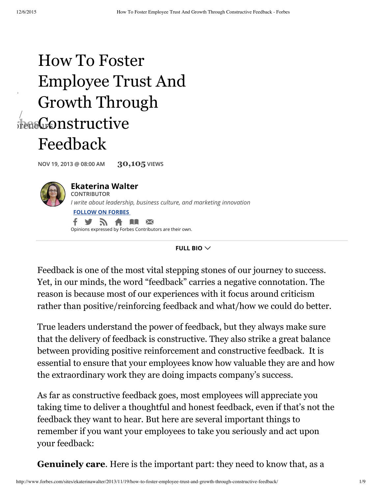## How To Foster Employee Trust And Growth Through ileneConstructive Feedback /

**NOV 19, <sup>2013</sup> @ 08:00 AM 30,105 VIEWS**



**[Ekaterina](http://www.forbes.com/sites/ekaterinawalter/) Walter CONTRIBUTOR** *I write about leadership, business culture, and marketing innovation* **[FOLLOW](http://blogs.forbes.com/account/login) ON FORBES SUPPER 19** Opinions expressed by Forbes Contributors are their own.

**FULL BIO**

Feedback is one of the most vital stepping stones of our journey to success. Yet, in our minds, the word "feedback" carries a negative connotation. The reason is because most of our experiences with it focus around criticism rather than positive/reinforcing feedback and what/how we could do better.

True leaders understand the power of feedback, but they always make sure that the delivery of feedback is constructive. They also strike a great balance between providing positive reinforcement and constructive feedback. It is essential to ensure that your employees know how valuable they are and how the extraordinary work they are doing impacts company's success.

As far as constructive feedback goes, most employees will appreciate you taking time to deliver a thoughtful and honest feedback, even if that's not the feedback they want to hear. But here are several important things to remember if you want your employees to take you seriously and act upon your feedback:

**Genuinely care**. Here is the important part: they need to know that, as a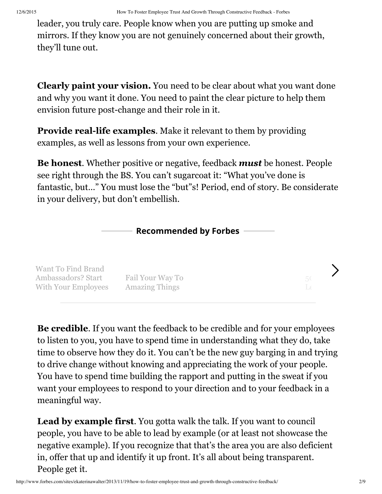leader, you truly care. People know when you are putting up smoke and mirrors. If they know you are not genuinely concerned about their growth, they'll tune out.

**Clearly paint your vision.** You need to be clear about what you want done and why you want it done. You need to paint the clear picture to help them envision future post-change and their role in it.

**Provide real-life examples.** Make it relevant to them by providing examples, as well as lessons from your own experience.

**Be honest**. Whether positive or negative, feedback *must* be honest. People see right through the BS. You can't sugarcoat it: "What you've done is fantastic, but…" You must lose the "but"s! Period, end of story. Be considerate in your delivery, but don't embellish.



Want To Find Brand [Ambassadors?](http://www.forbes.com/sites/ekaterinawalter/2013/10/15/want-to-find-brand-ambassadors-start-with-your-employees-2/) Start With Your Employees

Fail Your Way To [Amazing](http://www.forbes.com/sites/ekaterinawalter/2013/10/29/fail-your-way-to-amazing-things/) Things

**Be credible**. If you want the feedback to be credible and for your employees to listen to you, you have to spend time in understanding what they do, take time to observe how they do it. You can't be the new guy barging in and trying to drive change without knowing and appreciating the work of your people. You have to spend time building the rapport and putting in the sweat if you want your employees to respond to your direction and to your feedback in a meaningful way.

**Lead by example first**. You gotta walk the talk. If you want to council people, you have to be able to lead by example (or at least not showcase the negative example). If you recognize that that's the area you are also deficient in, offer that up and identify it up front. It's all about being transparent. People get it.

 $50$  $\left\langle \right\rangle$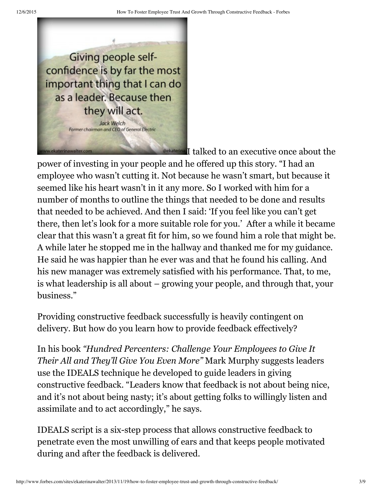

**ERAREF[I](http://b-i.forbesimg.com/ekaterinawalter/files/2013/11/Welch2.jpg)NA I** talked to an executive once about the

power of investing in your people and he offered up this story. "I had an employee who wasn't cutting it. Not because he wasn't smart, but because it seemed like his heart wasn't in it any more. So I worked with him for a number of months to outline the things that needed to be done and results that needed to be achieved. And then I said: 'If you feel like you can't get there, then let's look for a more suitable role for you.' After a while it became clear that this wasn't a great fit for him, so we found him a role that might be. A while later he stopped me in the hallway and thanked me for my guidance. He said he was happier than he ever was and that he found his calling. And his new manager was extremely satisfied with his performance. That, to me, is what leadership is all about – growing your people, and through that, your business."

Providing constructive feedback successfully is heavily contingent on delivery. But how do you learn how to provide feedback effectively?

In his book *"Hundred Percenters: Challenge Your Employees to Give It Their All and They'll Give You Even More"* Mark Murphy suggests leaders use the IDEALS technique he developed to guide leaders in giving constructive feedback. "Leaders know that feedback is not about being nice, and it's not about being nasty; it's about getting folks to willingly listen and assimilate and to act accordingly," he says.

IDEALS script is a six-step process that allows constructive feedback to penetrate even the most unwilling of ears and that keeps people motivated during and after the feedback is delivered.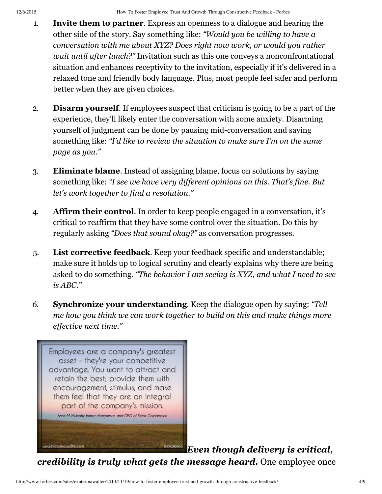- 1. **Invite them to partner**. Express an openness to a dialogue and hearing the other side of the story. Say something like: *"Would you be willing to have a conversation with me about XYZ? Does right now work, or would you rather wait until after lunch?"* Invitation such as this one conveys a nonconfrontational situation and enhances receptivity to the invitation, especially if it's delivered in a relaxed tone and friendly body language. Plus, most people feel safer and perform better when they are given choices.
- 2. **Disarm yourself**. If employees suspect that criticism is going to be a part of the experience, they'll likely enter the conversation with some anxiety. Disarming yourself of judgment can be done by pausing mid-conversation and saying something like: *"I'd like to review the situation to make sure I'm on the same page as you."*
- 3. **Eliminate blame**. Instead of assigning blame, focus on solutions by saying something like: *"I see we have very dif erent opinions on this. That's fine. But let's work together to find a resolution."*
- 4. **Affirm their control**. In order to keep people engaged in a conversation, it's critical to reaffirm that they have some control over the situation. Do this by regularly asking *"Does that sound okay?"* as conversation progresses.
- 5. **List corrective feedback**. Keep your feedback specific and understandable; make sure it holds up to logical scrutiny and clearly explains why there are being asked to do something. *"The behavior I am seeing is XYZ, and what I need to see is ABC."*
- 6. **Synchronize your understanding**. Keep the dialogue open by saying: *"Tell me how you think we can work together to build on this and make things more ef ective next time."*



*[E](http://b-i.forbesimg.com/ekaterinawalter/files/2013/11/mulcahy.jpg)ven though delivery is critical, credibility is truly what gets the message heard.* One employee once